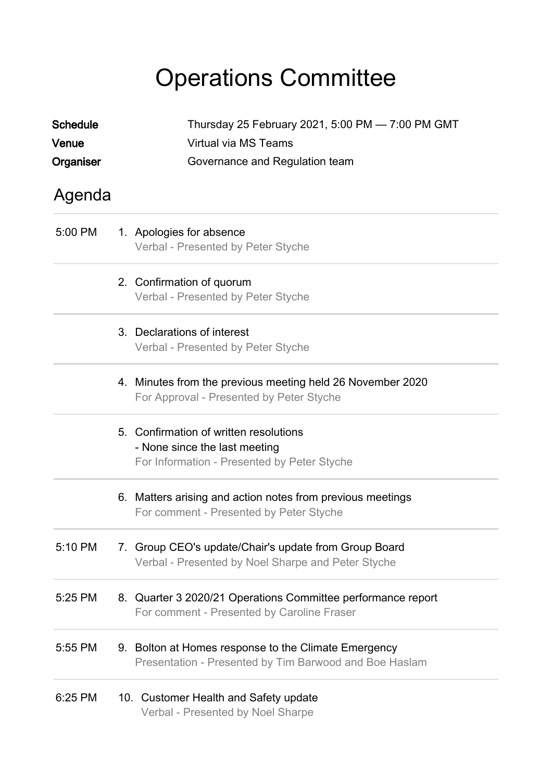## Operations Committee

| <b>Schedule</b>    | Thursday 25 February 2021, 5:00 PM - 7:00 PM GMT                                                                       |  |
|--------------------|------------------------------------------------------------------------------------------------------------------------|--|
| Venue<br>Organiser | Virtual via MS Teams<br>Governance and Regulation team                                                                 |  |
| Agenda             |                                                                                                                        |  |
| 5:00 PM            | 1. Apologies for absence<br>Verbal - Presented by Peter Styche                                                         |  |
|                    | 2. Confirmation of quorum<br>Verbal - Presented by Peter Styche                                                        |  |
|                    | 3. Declarations of interest<br>Verbal - Presented by Peter Styche                                                      |  |
|                    | 4. Minutes from the previous meeting held 26 November 2020<br>For Approval - Presented by Peter Styche                 |  |
|                    | 5. Confirmation of written resolutions<br>- None since the last meeting<br>For Information - Presented by Peter Styche |  |
|                    | 6. Matters arising and action notes from previous meetings<br>For comment - Presented by Peter Styche                  |  |
| 5:10 PM            | 7. Group CEO's update/Chair's update from Group Board<br>Verbal - Presented by Noel Sharpe and Peter Styche            |  |
| 5:25 PM            | 8. Quarter 3 2020/21 Operations Committee performance report<br>For comment - Presented by Caroline Fraser             |  |
| 5:55 PM            | 9. Bolton at Homes response to the Climate Emergency<br>Presentation - Presented by Tim Barwood and Boe Haslam         |  |
| 6:25 PM            | 10. Customer Health and Safety update<br>Verbal - Presented by Noel Sharpe                                             |  |